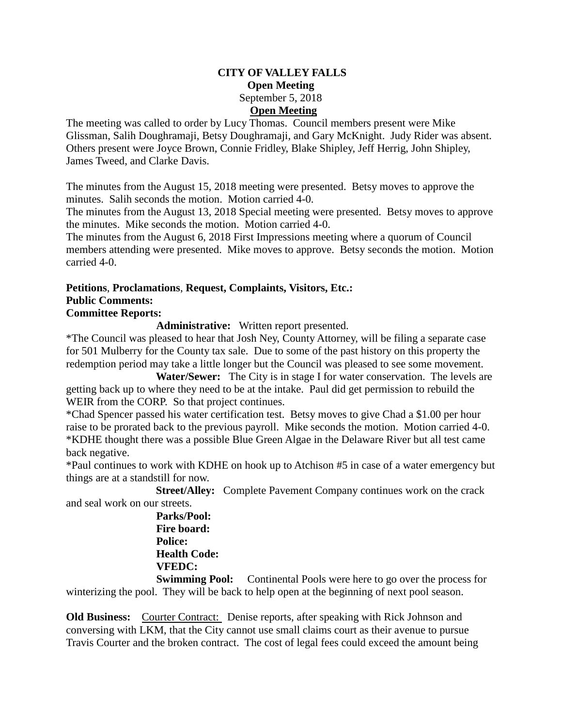#### **CITY OF VALLEY FALLS Open Meeting** September 5, 2018 **Open Meeting**

The meeting was called to order by Lucy Thomas. Council members present were Mike Glissman, Salih Doughramaji, Betsy Doughramaji, and Gary McKnight. Judy Rider was absent. Others present were Joyce Brown, Connie Fridley, Blake Shipley, Jeff Herrig, John Shipley, James Tweed, and Clarke Davis.

The minutes from the August 15, 2018 meeting were presented. Betsy moves to approve the minutes. Salih seconds the motion. Motion carried 4-0.

The minutes from the August 13, 2018 Special meeting were presented. Betsy moves to approve the minutes. Mike seconds the motion. Motion carried 4-0.

The minutes from the August 6, 2018 First Impressions meeting where a quorum of Council members attending were presented. Mike moves to approve. Betsy seconds the motion. Motion carried 4-0.

#### **Petitions**, **Proclamations**, **Request, Complaints, Visitors, Etc.: Public Comments:**

# **Committee Reports:**

**Administrative:** Written report presented.

\*The Council was pleased to hear that Josh Ney, County Attorney, will be filing a separate case for 501 Mulberry for the County tax sale. Due to some of the past history on this property the redemption period may take a little longer but the Council was pleased to see some movement.

 **Water/Sewer:** The City is in stage I for water conservation. The levels are getting back up to where they need to be at the intake. Paul did get permission to rebuild the WEIR from the CORP. So that project continues.

\*Chad Spencer passed his water certification test. Betsy moves to give Chad a \$1.00 per hour raise to be prorated back to the previous payroll. Mike seconds the motion. Motion carried 4-0. \*KDHE thought there was a possible Blue Green Algae in the Delaware River but all test came back negative.

\*Paul continues to work with KDHE on hook up to Atchison #5 in case of a water emergency but things are at a standstill for now.

 **Street/Alley:** Complete Pavement Company continues work on the crack and seal work on our streets.

 **Parks/Pool: Fire board: Police: Health Code: VFEDC:**

**Swimming Pool:** Continental Pools were here to go over the process for winterizing the pool. They will be back to help open at the beginning of next pool season.

**Old Business:** Courter Contract: Denise reports, after speaking with Rick Johnson and conversing with LKM, that the City cannot use small claims court as their avenue to pursue Travis Courter and the broken contract. The cost of legal fees could exceed the amount being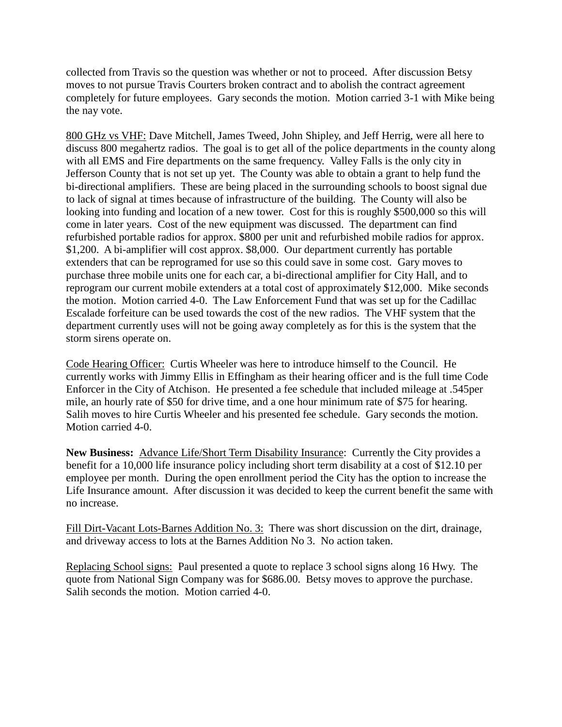collected from Travis so the question was whether or not to proceed. After discussion Betsy moves to not pursue Travis Courters broken contract and to abolish the contract agreement completely for future employees. Gary seconds the motion. Motion carried 3-1 with Mike being the nay vote.

800 GHz vs VHF: Dave Mitchell, James Tweed, John Shipley, and Jeff Herrig, were all here to discuss 800 megahertz radios. The goal is to get all of the police departments in the county along with all EMS and Fire departments on the same frequency. Valley Falls is the only city in Jefferson County that is not set up yet. The County was able to obtain a grant to help fund the bi-directional amplifiers. These are being placed in the surrounding schools to boost signal due to lack of signal at times because of infrastructure of the building. The County will also be looking into funding and location of a new tower. Cost for this is roughly \$500,000 so this will come in later years. Cost of the new equipment was discussed. The department can find refurbished portable radios for approx. \$800 per unit and refurbished mobile radios for approx. \$1,200. A bi-amplifier will cost approx. \$8,000. Our department currently has portable extenders that can be reprogramed for use so this could save in some cost. Gary moves to purchase three mobile units one for each car, a bi-directional amplifier for City Hall, and to reprogram our current mobile extenders at a total cost of approximately \$12,000. Mike seconds the motion. Motion carried 4-0. The Law Enforcement Fund that was set up for the Cadillac Escalade forfeiture can be used towards the cost of the new radios. The VHF system that the department currently uses will not be going away completely as for this is the system that the storm sirens operate on.

Code Hearing Officer: Curtis Wheeler was here to introduce himself to the Council. He currently works with Jimmy Ellis in Effingham as their hearing officer and is the full time Code Enforcer in the City of Atchison. He presented a fee schedule that included mileage at .545per mile, an hourly rate of \$50 for drive time, and a one hour minimum rate of \$75 for hearing. Salih moves to hire Curtis Wheeler and his presented fee schedule. Gary seconds the motion. Motion carried 4-0.

**New Business:** Advance Life/Short Term Disability Insurance: Currently the City provides a benefit for a 10,000 life insurance policy including short term disability at a cost of \$12.10 per employee per month. During the open enrollment period the City has the option to increase the Life Insurance amount. After discussion it was decided to keep the current benefit the same with no increase.

Fill Dirt-Vacant Lots-Barnes Addition No. 3: There was short discussion on the dirt, drainage, and driveway access to lots at the Barnes Addition No 3. No action taken.

Replacing School signs: Paul presented a quote to replace 3 school signs along 16 Hwy. The quote from National Sign Company was for \$686.00. Betsy moves to approve the purchase. Salih seconds the motion. Motion carried 4-0.